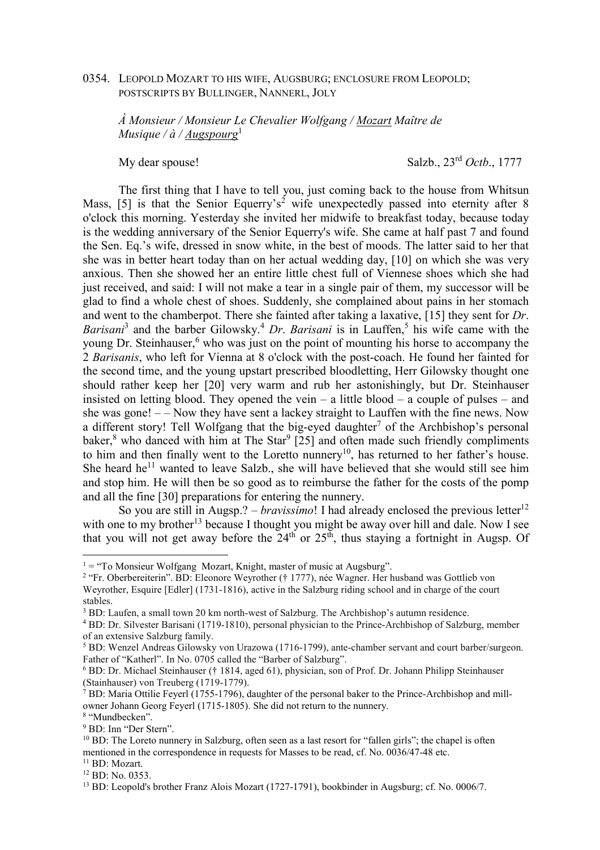### 0354. LEOPOLD MOZART TO HIS WIFE, AUGSBURG; ENCLOSURE FROM LEOPOLD; POSTSCRIPTS BY BULLINGER, NANNERL, JOLY

*À Monsieur / Monsieur Le Chevalier Wolfgang / Mozart Maître de Musique / à / Augspourg*<sup>1</sup>

My dear spouse! Salzb., 23rd *Octb*., 1777

The first thing that I have to tell you, just coming back to the house from Whitsun Mass, [5] is that the Senior Equerry's<sup>2</sup> wife unexpectedly passed into eternity after 8 o'clock this morning. Yesterday she invited her midwife to breakfast today, because today is the wedding anniversary of the Senior Equerry's wife. She came at half past 7 and found the Sen. Eq.'s wife, dressed in snow white, in the best of moods. The latter said to her that she was in better heart today than on her actual wedding day, [10] on which she was very anxious. Then she showed her an entire little chest full of Viennese shoes which she had just received, and said: I will not make a tear in a single pair of them, my successor will be glad to find a whole chest of shoes. Suddenly, she complained about pains in her stomach and went to the chamberpot. There she fainted after taking a laxative, [15] they sent for *Dr*. Barisani<sup>3</sup> and the barber Gilowsky.<sup>4</sup> Dr. *Barisani* is in Lauffen,<sup>5</sup> his wife came with the young Dr. Steinhauser,<sup>6</sup> who was just on the point of mounting his horse to accompany the 2 *Barisanis*, who left for Vienna at 8 o'clock with the post-coach. He found her fainted for the second time, and the young upstart prescribed bloodletting, Herr Gilowsky thought one should rather keep her [20] very warm and rub her astonishingly, but Dr. Steinhauser insisted on letting blood. They opened the vein  $-$  a little blood  $-$  a couple of pulses  $-$  and she was gone! – – Now they have sent a lackey straight to Lauffen with the fine news. Now a different story! Tell Wolfgang that the big-eyed daughter<sup>7</sup> of the Archbishop's personal baker,<sup>8</sup> who danced with him at The Star<sup>9</sup> [25] and often made such friendly compliments to him and then finally went to the Loretto nunnery<sup>10</sup>, has returned to her father's house. She heard he<sup>11</sup> wanted to leave Salzb., she will have believed that she would still see him and stop him. He will then be so good as to reimburse the father for the costs of the pomp and all the fine [30] preparations for entering the nunnery.

So you are still in Augsp.? – *bravissimo*! I had already enclosed the previous letter<sup>12</sup> with one to my brother<sup>13</sup> because I thought you might be away over hill and dale. Now I see that you will not get away before the  $24<sup>th</sup>$  or  $25<sup>th</sup>$ , thus staying a fortnight in Augsp. Of

8 "Mundbecken".

 $1 =$  "To Monsieur Wolfgang Mozart, Knight, master of music at Augsburg".

<sup>&</sup>lt;sup>2</sup> "Fr. Oberbereiterin". BD: Eleonore Weyrother († 1777), née Wagner. Her husband was Gottlieb von Weyrother, Esquire [Edler] (1731-1816), active in the Salzburg riding school and in charge of the court stables.

 $3$  BD: Laufen, a small town 20 km north-west of Salzburg. The Archbishop's autumn residence.

<sup>&</sup>lt;sup>4</sup> BD: Dr. Silvester Barisani (1719-1810), personal physician to the Prince-Archbishop of Salzburg, member of an extensive Salzburg family.

<sup>&</sup>lt;sup>5</sup> BD: Wenzel Andreas Gilowsky von Urazowa (1716-1799), ante-chamber servant and court barber/surgeon. Father of "Katherl". In No. 0705 called the "Barber of Salzburg".

<sup>&</sup>lt;sup>6</sup> BD: Dr. Michael Steinhauser († 1814, aged 61), physician, son of Prof. Dr. Johann Philipp Steinhauser (Stainhauser) von Treuberg (1719-1779).

<sup>&</sup>lt;sup>7</sup> BD: Maria Ottilie Feyerl (1755-1796), daughter of the personal baker to the Prince-Archbishop and millowner Johann Georg Feyerl (1715-1805). She did not return to the nunnery.

<sup>9</sup> BD: Inn "Der Stern".

 $10$  BD: The Loreto nunnery in Salzburg, often seen as a last resort for "fallen girls"; the chapel is often mentioned in the correspondence in requests for Masses to be read, cf. No. 0036/47-48 etc.

<sup>&</sup>lt;sup>11</sup> BD: Mozart.

<sup>12</sup> BD: No. 0353.

<sup>13</sup> BD: Leopold's brother Franz Alois Mozart (1727-1791), bookbinder in Augsburg; cf. No. 0006/7.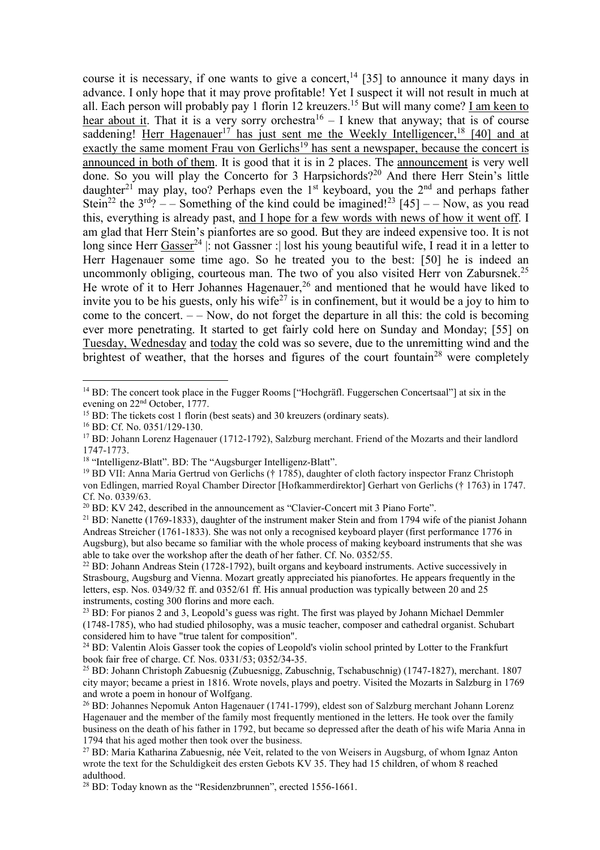course it is necessary, if one wants to give a concert,<sup>14</sup> [35] to announce it many days in advance. I only hope that it may prove profitable! Yet I suspect it will not result in much at all. Each person will probably pay 1 florin 12 kreuzers.<sup>15</sup> But will many come? <u>I am keen to</u> hear about it. That it is a very sorry orchestra<sup>16</sup> – I knew that anyway; that is of course saddening! Herr Hagenauer<sup>17</sup> has just sent me the Weekly Intelligencer,<sup>18</sup> [40] and at exactly the same moment Frau von Gerlichs<sup>19</sup> has sent a newspaper, because the concert is announced in both of them. It is good that it is in 2 places. The announcement is very well done. So you will play the Concerto for 3 Harpsichords?<sup>20</sup> And there Herr Stein's little daughter<sup>21</sup> may play, too? Perhaps even the 1<sup>st</sup> keyboard, you the 2<sup>nd</sup> and perhaps father Stein<sup>22</sup> the  $3^{rd}$ ? – – Something of the kind could be imagined!<sup>23</sup> [45] – – Now, as you read this, everything is already past, and I hope for a few words with news of how it went off. I am glad that Herr Stein's pianfortes are so good. But they are indeed expensive too. It is not long since Herr Gasser<sup>24</sup> |: not Gassner : lost his young beautiful wife, I read it in a letter to Herr Hagenauer some time ago. So he treated you to the best: [50] he is indeed an uncommonly obliging, courteous man. The two of you also visited Herr von Zabursnek.<sup>25</sup> He wrote of it to Herr Johannes Hagenauer,<sup>26</sup> and mentioned that he would have liked to invite you to be his guests, only his wife<sup>27</sup> is in confinement, but it would be a joy to him to come to the concert. – – Now, do not forget the departure in all this: the cold is becoming ever more penetrating. It started to get fairly cold here on Sunday and Monday; [55] on Tuesday, Wednesday and today the cold was so severe, due to the unremitting wind and the brightest of weather, that the horses and figures of the court fountain<sup>28</sup> were completely

<sup>&</sup>lt;sup>14</sup> BD: The concert took place in the Fugger Rooms ["Hochgräfl. Fuggerschen Concertsaal"] at six in the evening on 22nd October, 1777.

 $15$  BD: The tickets cost 1 florin (best seats) and 30 kreuzers (ordinary seats).

<sup>16</sup> BD: Cf. No. 0351/129-130.

<sup>17</sup> BD: Johann Lorenz Hagenauer (1712-1792), Salzburg merchant. Friend of the Mozarts and their landlord 1747-1773.

<sup>&</sup>lt;sup>18</sup> "Intelligenz-Blatt". BD: The "Augsburger Intelligenz-Blatt".

<sup>19</sup> BD VII: Anna Maria Gertrud von Gerlichs († 1785), daughter of cloth factory inspector Franz Christoph von Edlingen, married Royal Chamber Director [Hofkammerdirektor] Gerhart von Gerlichs († 1763) in 1747. Cf. No. 0339/63.

<sup>20</sup> BD: KV 242, described in the announcement as "Clavier-Concert mit 3 Piano Forte".

 $^{21}$  BD: Nanette (1769-1833), daughter of the instrument maker Stein and from 1794 wife of the pianist Johann Andreas Streicher (1761-1833). She was not only a recognised keyboard player (first performance 1776 in Augsburg), but also became so familiar with the whole process of making keyboard instruments that she was able to take over the workshop after the death of her father. Cf. No. 0352/55.

<sup>&</sup>lt;sup>22</sup> BD: Johann Andreas Stein (1728-1792), built organs and keyboard instruments. Active successively in Strasbourg, Augsburg and Vienna. Mozart greatly appreciated his pianofortes. He appears frequently in the letters, esp. Nos. 0349/32 ff. and 0352/61 ff. His annual production was typically between 20 and 25 instruments, costing 300 florins and more each.

<sup>&</sup>lt;sup>23</sup> BD: For pianos 2 and 3, Leopold's guess was right. The first was played by Johann Michael Demmler (1748-1785), who had studied philosophy, was a music teacher, composer and cathedral organist. Schubart considered him to have "true talent for composition".

<sup>&</sup>lt;sup>24</sup> BD: Valentin Alois Gasser took the copies of Leopold's violin school printed by Lotter to the Frankfurt book fair free of charge. Cf. Nos. 0331/53; 0352/34-35.

<sup>&</sup>lt;sup>25</sup> BD: Johann Christoph Zabuesnig (Zubuesnigg, Zabuschnig, Tschabuschnig) (1747-1827), merchant. 1807 city mayor; became a priest in 1816. Wrote novels, plays and poetry. Visited the Mozarts in Salzburg in 1769 and wrote a poem in honour of Wolfgang.

<sup>26</sup> BD: Johannes Nepomuk Anton Hagenauer (1741-1799), eldest son of Salzburg merchant Johann Lorenz Hagenauer and the member of the family most frequently mentioned in the letters. He took over the family business on the death of his father in 1792, but became so depressed after the death of his wife Maria Anna in 1794 that his aged mother then took over the business.

<sup>&</sup>lt;sup>27</sup> BD: Maria Katharina Zabuesnig, née Veit, related to the von Weisers in Augsburg, of whom Ignaz Anton wrote the text for the Schuldigkeit des ersten Gebots KV 35. They had 15 children, of whom 8 reached adulthood.

<sup>28</sup> BD: Today known as the "Residenzbrunnen", erected 1556-1661.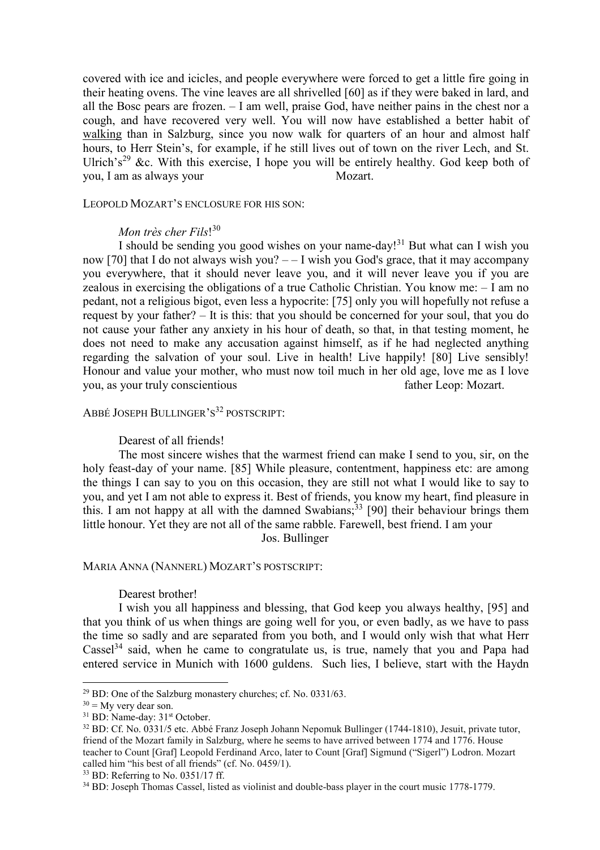covered with ice and icicles, and people everywhere were forced to get a little fire going in their heating ovens. The vine leaves are all shrivelled [60] as if they were baked in lard, and all the Bosc pears are frozen. – I am well, praise God, have neither pains in the chest nor a cough, and have recovered very well. You will now have established a better habit of walking than in Salzburg, since you now walk for quarters of an hour and almost half hours, to Herr Stein's, for example, if he still lives out of town on the river Lech, and St. Ulrich's<sup>29</sup> &c. With this exercise, I hope you will be entirely healthy. God keep both of you, I am as always your Mozart.

LEOPOLD MOZART'S ENCLOSURE FOR HIS SON:

# *Mon très cher Fils*! 30

I should be sending you good wishes on your name-day!<sup>31</sup> But what can I wish you now [70] that I do not always wish you?  $-$  I wish you God's grace, that it may accompany you everywhere, that it should never leave you, and it will never leave you if you are zealous in exercising the obligations of a true Catholic Christian. You know me: – I am no pedant, not a religious bigot, even less a hypocrite: [75] only you will hopefully not refuse a request by your father? – It is this: that you should be concerned for your soul, that you do not cause your father any anxiety in his hour of death, so that, in that testing moment, he does not need to make any accusation against himself, as if he had neglected anything regarding the salvation of your soul. Live in health! Live happily! [80] Live sensibly! Honour and value your mother, who must now toil much in her old age, love me as I love you, as your truly conscientious father Leop: Mozart.

# ABBÉ JOSEPH BULLINGER'S <sup>32</sup> POSTSCRIPT:

### Dearest of all friends!

The most sincere wishes that the warmest friend can make I send to you, sir, on the holy feast-day of your name. [85] While pleasure, contentment, happiness etc: are among the things I can say to you on this occasion, they are still not what I would like to say to you, and yet I am not able to express it. Best of friends, you know my heart, find pleasure in this. I am not happy at all with the damned Swabians;<sup>33</sup> [90] their behaviour brings them little honour. Yet they are not all of the same rabble. Farewell, best friend. I am your Jos. Bullinger

### MARIA ANNA (NANNERL) MOZART'S POSTSCRIPT:

#### Dearest brother!

I wish you all happiness and blessing, that God keep you always healthy, [95] and that you think of us when things are going well for you, or even badly, as we have to pass the time so sadly and are separated from you both, and I would only wish that what Herr  $\text{Case}^{34}$  said, when he came to congratulate us, is true, namely that you and Papa had entered service in Munich with 1600 guldens. Such lies, I believe, start with the Haydn

 $29$  BD: One of the Salzburg monastery churches; cf. No. 0331/63.

 $30 = My$  very dear son.

<sup>&</sup>lt;sup>31</sup> BD: Name-day: 31<sup>st</sup> October.

<sup>32</sup> BD: Cf. No. 0331/5 etc. Abbé Franz Joseph Johann Nepomuk Bullinger (1744-1810), Jesuit, private tutor, friend of the Mozart family in Salzburg, where he seems to have arrived between 1774 and 1776. House teacher to Count [Graf] Leopold Ferdinand Arco, later to Count [Graf] Sigmund ("Sigerl") Lodron. Mozart called him "his best of all friends" (cf. No. 0459/1).

 $33$  BD: Referring to No. 0351/17 ff.

<sup>34</sup> BD: Joseph Thomas Cassel, listed as violinist and double-bass player in the court music 1778-1779.